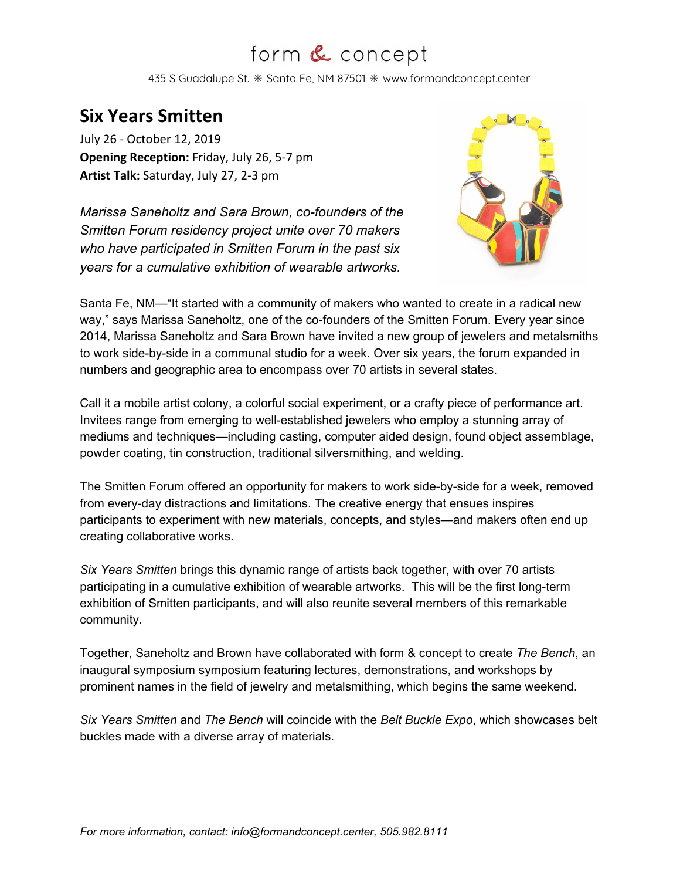## form & concept

435 S Guadalupe St.  $*$  Santa Fe, NM 87501  $*$  www.formandconcept.center

## **Six Years Smitten**

July 26 - October 12, 2019 **Opening Reception:** Friday, July 26, 5-7 pm **Artist Talk:** Saturday, July 27, 2-3 pm

*Marissa Saneholtz and Sara Brown, co-founders of the Smitten Forum residency project unite over 70 makers who have participated in Smitten Forum in the past six years for a cumulative exhibition of wearable artworks.*



Santa Fe, NM—"It started with a community of makers who wanted to create in a radical new way," says Marissa Saneholtz, one of the co-founders of the Smitten Forum. Every year since 2014, Marissa Saneholtz and Sara Brown have invited a new group of jewelers and metalsmiths to work side-by-side in a communal studio for a week. Over six years, the forum expanded in numbers and geographic area to encompass over 70 artists in several states.

Call it a mobile artist colony, a colorful social experiment, or a crafty piece of performance art. Invitees range from emerging to well-established jewelers who employ a stunning array of mediums and techniques—including casting, computer aided design, found object assemblage, powder coating, tin construction, traditional silversmithing, and welding.

The Smitten Forum offered an opportunity for makers to work side-by-side for a week, removed from every-day distractions and limitations. The creative energy that ensues inspires participants to experiment with new materials, concepts, and styles—and makers often end up creating collaborative works.

*Six Years Smitten* brings this dynamic range of artists back together, with over 70 artists participating in a cumulative exhibition of wearable artworks. This will be the first long-term exhibition of Smitten participants, and will also reunite several members of this remarkable community.

Together, Saneholtz and Brown have collaborated with form & concept to create *The Bench*, an inaugural symposium symposium featuring lectures, demonstrations, and workshops by prominent names in the field of jewelry and metalsmithing, which begins the same weekend.

*Six Years Smitten* and *The Bench* will coincide with the *Belt Buckle Expo*, which showcases belt buckles made with a diverse array of materials.